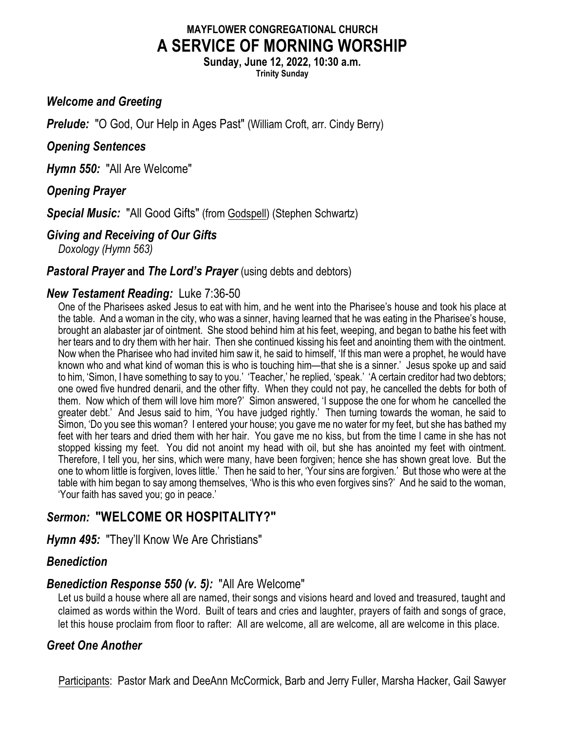# **MAYFLOWER CONGREGATIONAL CHURCH A SERVICE OF MORNING WORSHIP**

**Sunday, June 12, 2022, 10:30 a.m.**

**Trinity Sunday**

### *Welcome and Greeting*

**Prelude:** "O God, Our Help in Ages Past" (William Croft, arr. Cindy Berry)

## *Opening Sentences*

*Hymn 550:* "All Are Welcome"

## *Opening Prayer*

*Special Music:* "All Good Gifts" (from Godspell) (Stephen Schwartz)

## *Giving and Receiving of Our Gifts*

*Doxology (Hymn 563)*

### *Pastoral Prayer and The Lord's Prayer* (using debts and debtors)

## *New Testament Reading:* Luke 7:36-50

One of the Pharisees asked Jesus to eat with him, and he went into the Pharisee's house and took his place at the table. And a woman in the city, who was a sinner, having learned that he was eating in the Pharisee's house, brought an alabaster jar of ointment. She stood behind him at his feet, weeping, and began to bathe his feet with her tears and to dry them with her hair. Then she continued kissing his feet and anointing them with the ointment. Now when the Pharisee who had invited him saw it, he said to himself, 'If this man were a prophet, he would have known who and what kind of woman this is who is touching him—that she is a sinner.' Jesus spoke up and said to him, 'Simon, I have something to say to you.' 'Teacher,' he replied, 'speak.' 'A certain creditor had two debtors; one owed five hundred denarii, and the other fifty. When they could not pay, he cancelled the debts for both of them. Now which of them will love him more?' Simon answered, 'I suppose the one for whom he cancelled the greater debt.' And Jesus said to him, 'You have judged rightly.' Then turning towards the woman, he said to Simon, 'Do you see this woman? I entered your house; you gave me no water for my feet, but she has bathed my feet with her tears and dried them with her hair. You gave me no kiss, but from the time I came in she has not stopped kissing my feet. You did not anoint my head with oil, but she has anointed my feet with ointment. Therefore, I tell you, her sins, which were many, have been forgiven; hence she has shown great love. But the one to whom little is forgiven, loves little.' Then he said to her, 'Your sins are forgiven.' But those who were at the table with him began to say among themselves, 'Who is this who even forgives sins?' And he said to the woman, 'Your faith has saved you; go in peace.'

# *Sermon:* **"WELCOME OR HOSPITALITY?"**

*Hymn 495:* "They'll Know We Are Christians"

# *Benediction*

# *Benediction Response 550 (v. 5):* "All Are Welcome"

Let us build a house where all are named, their songs and visions heard and loved and treasured, taught and claimed as words within the Word. Built of tears and cries and laughter, prayers of faith and songs of grace, let this house proclaim from floor to rafter: All are welcome, all are welcome, all are welcome in this place.

# *Greet One Another*

Participants: Pastor Mark and DeeAnn McCormick, Barb and Jerry Fuller, Marsha Hacker, Gail Sawyer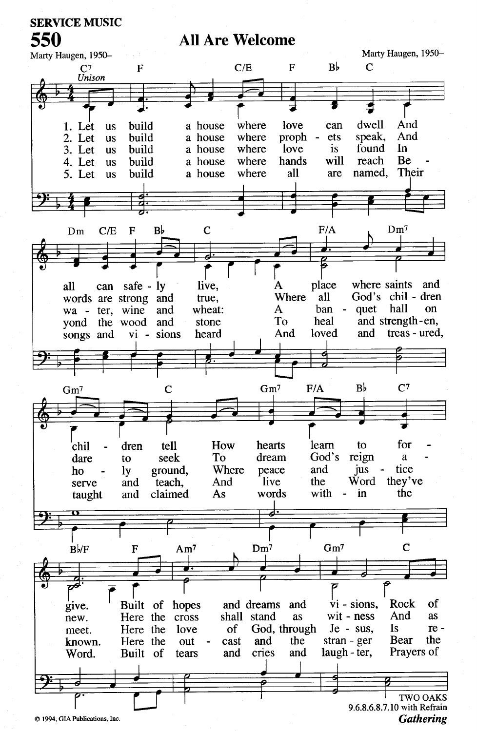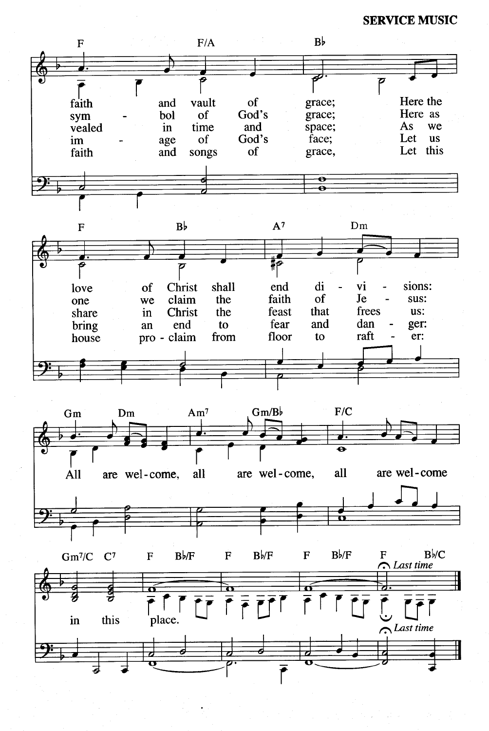**SERVICE MUSIC** 

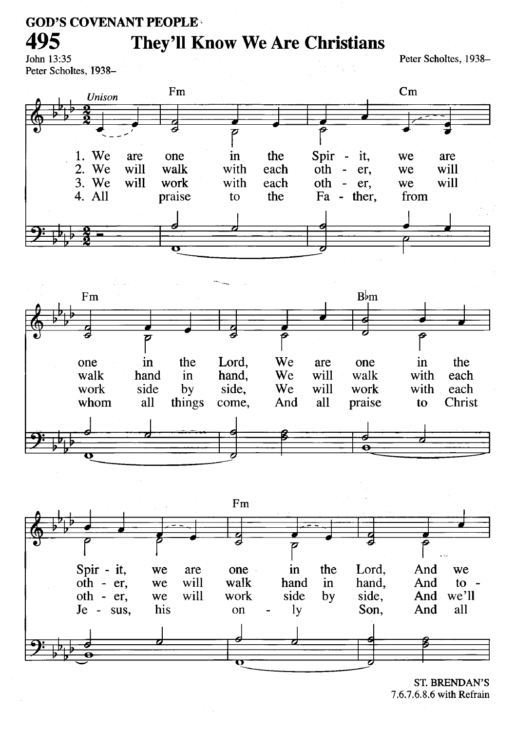#### **GOD'S COVENANT PEOPLE**

# **They'll Know We Are Christians**

John 13:35 Peter Scholtes, 1938-

495

Peter Scholtes, 1938-







**ST. BRENDAN'S** 7.6.7.6.8.6 with Refrain